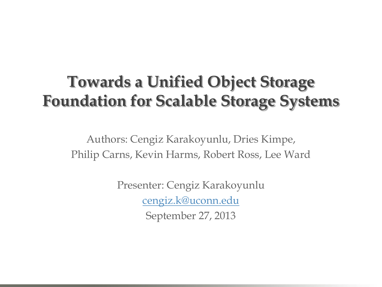# **Towards a Unified Object Storage Foundation for Scalable Storage Systems**

Authors: Cengiz Karakoyunlu, Dries Kimpe, Philip Carns, Kevin Harms, Robert Ross, Lee Ward

> Presenter: Cengiz Karakoyunlu [cengiz.k@uconn.edu](mailto:cengiz.k@uconn.edu) September 27, 2013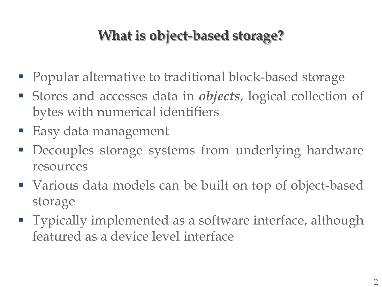## **What is object-based storage?**

- Popular alternative to traditional block-based storage
- Stores and accesses data in *objects*, logical collection of bytes with numerical identifiers
- Easy data management
- **Decouples storage systems from underlying hardware** resources
- Various data models can be built on top of object-based storage
- **Typically implemented as a software interface, although** featured as a device level interface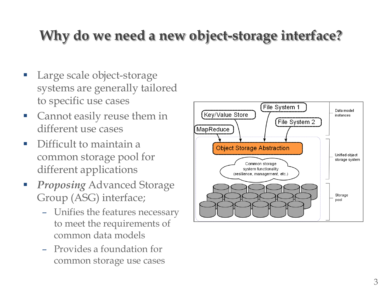## **Why do we need a new object-storage interface?**

- Large scale object-storage systems are generally tailored to specific use cases
- **Cannot easily reuse them in** different use cases
- Difficult to maintain a common storage pool for different applications
- **Proposing Advanced Storage** Group (ASG) interface;
	- Unifies the features necessary to meet the requirements of common data models
	- Provides a foundation for common storage use cases

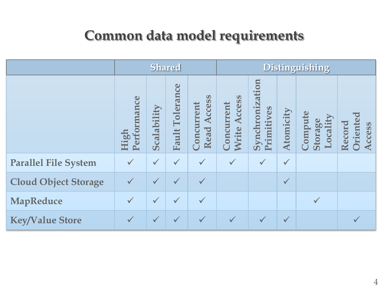#### **Common data model requirements**

|                             | <b>Shared</b>       |              |                    |                                                  | <b>Distinguishing</b>                |                               |              |                                |                             |
|-----------------------------|---------------------|--------------|--------------------|--------------------------------------------------|--------------------------------------|-------------------------------|--------------|--------------------------------|-----------------------------|
|                             | Performance<br>High | Scalability  | Tolerance<br>Fault | $\bullet$<br><b>Access</b><br>Concurrent<br>Read | Access<br>Concurrent<br><b>Write</b> | Synchronization<br>Primitives | Atomicity    | Compute<br>Locality<br>Storage | riented<br>Record<br>Access |
| <b>Parallel File System</b> |                     | $\checkmark$ | $\checkmark$       | $\checkmark$                                     | $\checkmark$                         | $\checkmark$                  | $\checkmark$ |                                |                             |
| <b>Cloud Object Storage</b> | $\checkmark$        | $\sqrt{}$    | $\checkmark$       |                                                  |                                      |                               | $\checkmark$ |                                |                             |
| MapReduce                   |                     | $\checkmark$ | $\checkmark$       |                                                  |                                      |                               |              | $\checkmark$                   |                             |
| <b>Key/Value Store</b>      | $\checkmark$        | $\checkmark$ | $\sqrt{}$          | $\checkmark$                                     | $\checkmark$                         | $\checkmark$                  | $\checkmark$ |                                |                             |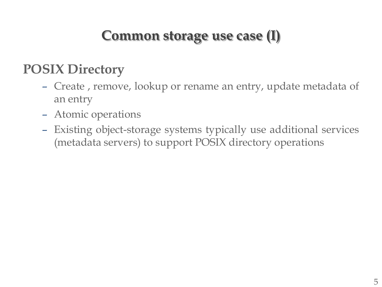#### **Common storage use case (I)**

#### **POSIX Directory**

- Create , remove, lookup or rename an entry, update metadata of an entry
- Atomic operations
- Existing object-storage systems typically use additional services (metadata servers) to support POSIX directory operations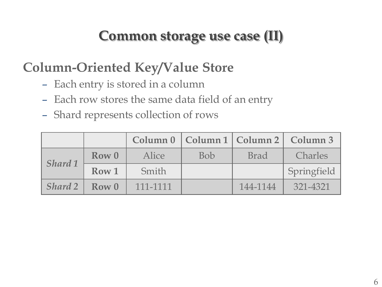#### **Common storage use case (II)**

#### **Column-Oriented Key/Value Store**

- Each entry is stored in a column
- Each row stores the same data field of an entry
- Shard represents collection of rows

|                |       |          |            |             | Column 0   Column 1   Column 2   Column 3 |
|----------------|-------|----------|------------|-------------|-------------------------------------------|
| Shard 1        | Row 0 | Alice    | <b>Bob</b> | <b>Brad</b> | <b>Charles</b>                            |
| Row 1<br>Smith |       |          |            |             | Springfield                               |
| <b>Shard 2</b> | Row 0 | 111-1111 |            | 144-1144    | 321-4321                                  |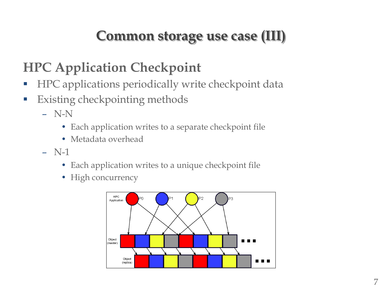## **Common storage use case (III)**

## **HPC Application Checkpoint**

- **HPC** applications periodically write checkpoint data
- **Existing checkpointing methods** 
	- N-N
		- Each application writes to a separate checkpoint file
		- Metadata overhead
	- N-1
		- Each application writes to a unique checkpoint file
		- High concurrency

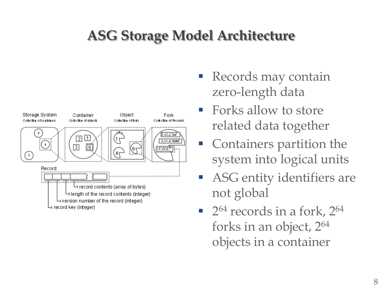#### **ASG Storage Model Architecture**



- Records may contain zero-length data
- **Forks allow to store** related data together
- **Containers partition the** system into logical units
- **ASG** entity identifiers are not global
- $\blacksquare$  2<sup>64</sup> records in a fork, 2<sup>64</sup> forks in an object, 2<sup>64</sup> objects in a container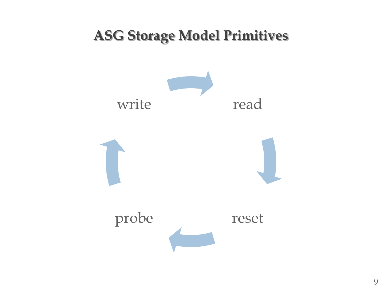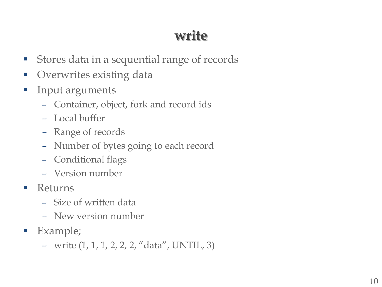## **write**

- **Stores data in a sequential range of records**
- **Overwrites existing data**
- **Input arguments** 
	- Container, object, fork and record ids
	- Local buffer
	- Range of records
	- Number of bytes going to each record
	- Conditional flags
	- Version number
- **Returns** 
	- Size of written data
	- New version number
- **Example**;
	- write (1, 1, 1, 2, 2, 2, "data", UNTIL, 3)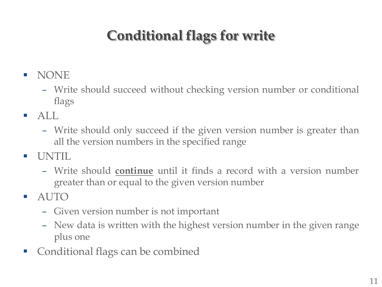# **Conditional flags for write**

- **NONE** 
	- Write should succeed without checking version number or conditional flags
- $\blacksquare$  ALL
	- Write should only succeed if the given version number is greater than all the version numbers in the specified range
- UNTIL
	- Write should **continue** until it finds a record with a version number greater than or equal to the given version number
- AUTO
	- Given version number is not important
	- New data is written with the highest version number in the given range plus one
- Conditional flags can be combined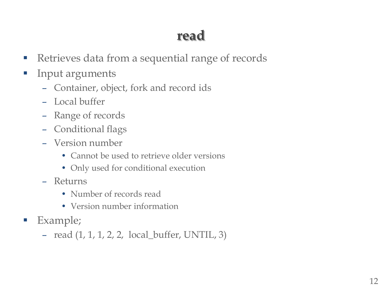## **read**

- **Retrieves data from a sequential range of records**
- **Input arguments** 
	- Container, object, fork and record ids
	- Local buffer
	- Range of records
	- Conditional flags
	- Version number
		- Cannot be used to retrieve older versions
		- Only used for conditional execution
	- Returns
		- Number of records read
		- Version number information
- **Example**;
	- read (1, 1, 1, 2, 2, local\_buffer, UNTIL, 3)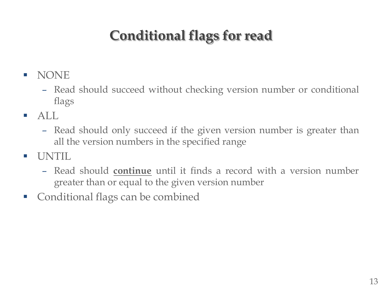# **Conditional flags for read**

- **NONE** 
	- Read should succeed without checking version number or conditional flags
- $\blacksquare$  ALL
	- Read should only succeed if the given version number is greater than all the version numbers in the specified range
- UNTIL
	- Read should **continue** until it finds a record with a version number greater than or equal to the given version number
- **Conditional flags can be combined**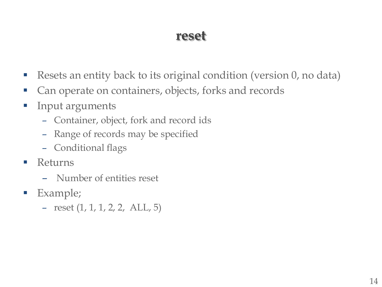#### **reset**

- Resets an entity back to its original condition (version 0, no data)
- **Can operate on containers, objects, forks and records**
- **Input arguments** 
	- Container, object, fork and record ids
	- Range of records may be specified
	- Conditional flags
- **Returns** 
	- Number of entities reset
- **Example**;
	- reset (1, 1, 1, 2, 2, ALL, 5)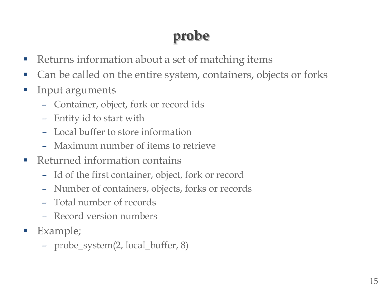# **probe**

- Returns information about a set of matching items
- Can be called on the entire system, containers, objects or forks
- **Input arguments** 
	- Container, object, fork or record ids
	- Entity id to start with
	- Local buffer to store information
	- Maximum number of items to retrieve
- Returned information contains
	- Id of the first container, object, fork or record
	- Number of containers, objects, forks or records
	- Total number of records
	- Record version numbers
- Example;
	- probe\_system(2, local\_buffer, 8)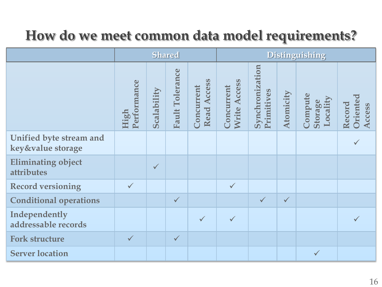## **How do we meet common data model requirements?**

|                                              | <b>Shared</b>       |              |                                 | <b>Distinguishing</b>        |                               |                               |              |                                |                              |
|----------------------------------------------|---------------------|--------------|---------------------------------|------------------------------|-------------------------------|-------------------------------|--------------|--------------------------------|------------------------------|
|                                              | Performance<br>High | Scalability  | Tolerance<br>Fault <sup>'</sup> | Access<br>Concurrent<br>Read | Access<br>Concurrent<br>Write | Synchronization<br>Primitives | Atomicity    | Compute<br>Locality<br>Storage | Oriented<br>Record<br>Access |
| Unified byte stream and<br>key&value storage |                     |              |                                 |                              |                               |                               |              |                                |                              |
| <b>Eliminating object</b><br>attributes      |                     | $\checkmark$ |                                 |                              |                               |                               |              |                                |                              |
| <b>Record versioning</b>                     | $\checkmark$        |              |                                 |                              | $\checkmark$                  |                               |              |                                |                              |
| <b>Conditional operations</b>                |                     |              | $\checkmark$                    |                              |                               | $\checkmark$                  | $\checkmark$ |                                |                              |
| Independently<br>addressable records         |                     |              |                                 | $\checkmark$                 | $\checkmark$                  |                               |              |                                |                              |
| <b>Fork structure</b>                        | $\checkmark$        |              | $\checkmark$                    |                              |                               |                               |              |                                |                              |
| <b>Server location</b>                       |                     |              |                                 |                              |                               |                               |              | $\checkmark$                   |                              |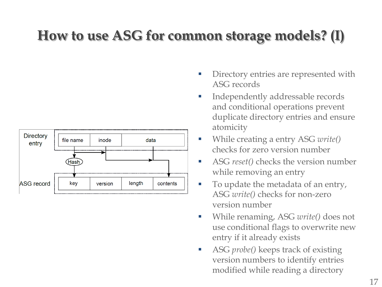## **How to use ASG for common storage models? (I)**



- Directory entries are represented with ASG records
- Independently addressable records and conditional operations prevent duplicate directory entries and ensure atomicity
- While creating a entry ASG *write*() checks for zero version number
- ASG *reset()* checks the version number while removing an entry
- To update the metadata of an entry, ASG *write()* checks for non-zero version number
- While renaming, ASG *write()* does not use conditional flags to overwrite new entry if it already exists
- ASG *probe()* keeps track of existing version numbers to identify entries modified while reading a directory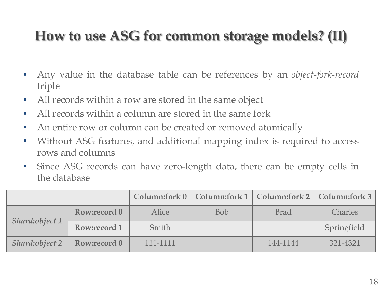## **How to use ASG for common storage models? (II)**

- Any value in the database table can be references by an *object*-*fork*-*record* triple
- All records within a row are stored in the same object
- All records within a column are stored in the same fork
- An entire row or column can be created or removed atomically
- Without ASG features, and additional mapping index is required to access rows and columns
- Since ASG records can have zero-length data, there can be empty cells in the database

|                                 |              |          |            |             | Column:fork 0   Column:fork 1   Column:fork 2   Column:fork 3 |
|---------------------------------|--------------|----------|------------|-------------|---------------------------------------------------------------|
|                                 | Row:record 0 | Alice    | <b>Bob</b> | <b>Brad</b> | <b>Charles</b>                                                |
| Shard: object 1<br>Row:record 1 |              | Smith    |            |             | Springfield                                                   |
| Shard:object 2                  | Row:record 0 | 111-1111 |            | 144-1144    | 321-4321                                                      |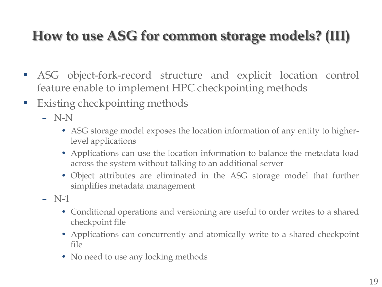# **How to use ASG for common storage models? (III)**

- ASG object-fork-record structure and explicit location control feature enable to implement HPC checkpointing methods
- **Existing checkpointing methods** 
	- N-N
		- ASG storage model exposes the location information of any entity to higherlevel applications
		- Applications can use the location information to balance the metadata load across the system without talking to an additional server
		- Object attributes are eliminated in the ASG storage model that further simplifies metadata management
	- $-$  N-1
		- Conditional operations and versioning are useful to order writes to a shared checkpoint file
		- Applications can concurrently and atomically write to a shared checkpoint file
		- No need to use any locking methods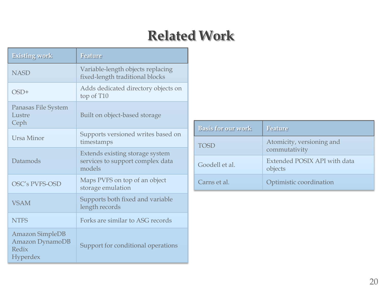#### **Related Work**

| <b>Existing work</b>                                           | <b>Feature</b>                                                                |
|----------------------------------------------------------------|-------------------------------------------------------------------------------|
| <b>NASD</b>                                                    | Variable-length objects replacing<br>fixed-length traditional blocks          |
| $OSD+$                                                         | Adds dedicated directory objects on<br>top of T10                             |
| Panasas File System<br>Lustre<br>Ceph                          | Built on object-based storage                                                 |
| Ursa Minor                                                     | Supports versioned writes based on<br>timestamps                              |
| Datamods                                                       | Extends existing storage system<br>services to support complex data<br>models |
| OSC's PVFS-OSD                                                 | Maps PVFS on top of an object<br>storage emulation                            |
| <b>VSAM</b>                                                    | Supports both fixed and variable<br>length records                            |
| <b>NTFS</b>                                                    | Forks are similar to ASG records                                              |
| <b>Amazon SimpleDB</b><br>Amazon DynamoDB<br>Redix<br>Hyperdex | Support for conditional operations                                            |

| <b>Basis for our work</b> | <b>Feature</b>                             |
|---------------------------|--------------------------------------------|
| TOSD                      | Atomicity, versioning and<br>commutativity |
| Goodell et al.            | Extended POSIX API with data<br>objects    |
| Carns et al.              | Optimistic coordination                    |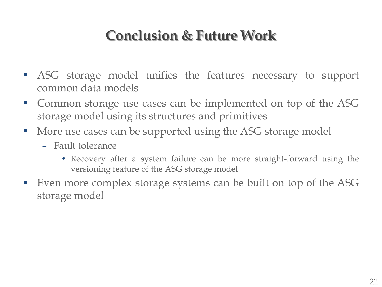#### **Conclusion & Future Work**

- ASG storage model unifies the features necessary to support common data models
- Common storage use cases can be implemented on top of the ASG storage model using its structures and primitives
- **More use cases can be supported using the ASG storage model** 
	- Fault tolerance
		- Recovery after a system failure can be more straight-forward using the versioning feature of the ASG storage model
- Even more complex storage systems can be built on top of the ASG storage model